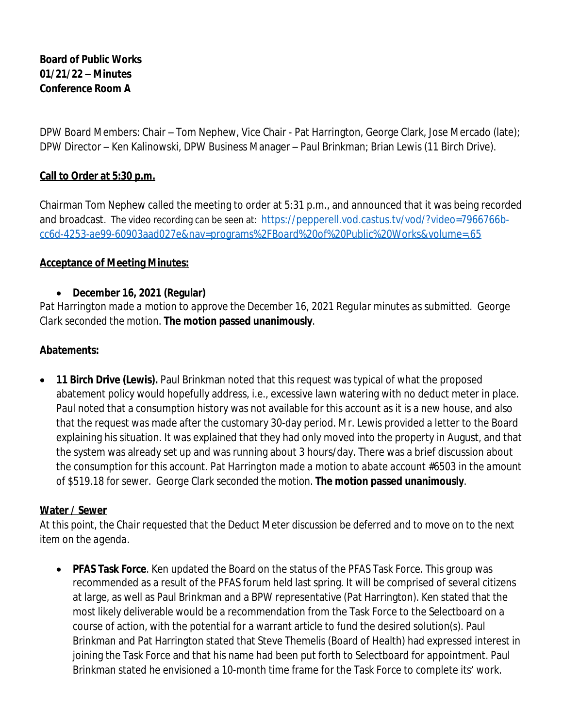# **Board of Public Works 01/21/22 – Minutes Conference Room A**

DPW Board Members: Chair – Tom Nephew, Vice Chair - Pat Harrington, George Clark, Jose Mercado (late); DPW Director – Ken Kalinowski, DPW Business Manager – Paul Brinkman; Brian Lewis (11 Birch Drive).

# **Call to Order at 5:30 p.m.**

Chairman Tom Nephew called the meeting to order at 5:31 p.m., and announced that it was being recorded and broadcast. The video recording can be seen at: [https://pepperell.vod.castus.tv/vod/?video=7966766b](https://pepperell.vod.castus.tv/vod/?video=7966766b-cc6d-4253-ae99-60903aad027e&nav=programs%2FBoard%20of%20Public%20Works&volume=.65)cc6d-4253-ae99-60903aad027e&nav=programs%2FBoard%20of%20Public%20Works&volume=.65

## **Acceptance of Meeting Minutes:**

## **December 16, 2021 (Regular)**

*Pat Harrington made a motion to approve the December 16, 2021 Regular minutes as submitted. George Clark seconded the motion*. **The motion passed unanimously**.

## **Abatements:**

• **11 Birch Drive (Lewis).** Paul Brinkman noted that this request was typical of what the proposed abatement policy would hopefully address, i.e., excessive lawn watering with no deduct meter in place. Paul noted that a consumption history was not available for this account as it is a new house, and also that the request was made after the customary 30-day period. Mr. Lewis provided a letter to the Board explaining his situation. It was explained that they had only moved into the property in August, and that the system was already set up and was running about 3 hours/day. There was a brief discussion about the consumption for this account. *Pat Harrington made a motion to abate account #6503 in the amount of \$519.18 for sewer. George Clark seconded the motion*. **The motion passed unanimously**.

## **Water / Sewer**

*At this point, the Chair requested that the Deduct Meter discussion be deferred and to move on to the next item on the agenda.*

 **PFAS Task Force**. Ken updated the Board on the status of the PFAS Task Force. This group was recommended as a result of the PFAS forum held last spring. It will be comprised of several citizens at large, as well as Paul Brinkman and a BPW representative (Pat Harrington). Ken stated that the most likely deliverable would be a recommendation from the Task Force to the Selectboard on a course of action, with the potential for a warrant article to fund the desired solution(s). Paul Brinkman and Pat Harrington stated that Steve Themelis (Board of Health) had expressed interest in joining the Task Force and that his name had been put forth to Selectboard for appointment. Paul Brinkman stated he envisioned a 10-month time frame for the Task Force to complete its' work.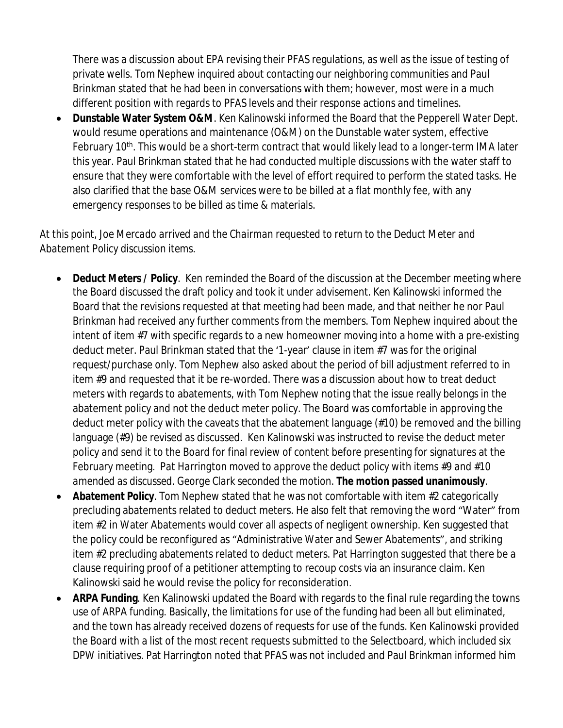There was a discussion about EPA revising their PFAS regulations, as well as the issue of testing of private wells. Tom Nephew inquired about contacting our neighboring communities and Paul Brinkman stated that he had been in conversations with them; however, most were in a much different position with regards to PFAS levels and their response actions and timelines.

 **Dunstable Water System O&M**. Ken Kalinowski informed the Board that the Pepperell Water Dept. would resume operations and maintenance (O&M) on the Dunstable water system, effective February 10<sup>th</sup>. This would be a short-term contract that would likely lead to a longer-term IMA later this year. Paul Brinkman stated that he had conducted multiple discussions with the water staff to ensure that they were comfortable with the level of effort required to perform the stated tasks. He also clarified that the base O&M services were to be billed at a flat monthly fee, with any emergency responses to be billed as time & materials.

# *At this point, Joe Mercado arrived and the Chairman requested to return to the Deduct Meter and Abatement Policy discussion items.*

- **Deduct Meters / Policy**. Ken reminded the Board of the discussion at the December meeting where the Board discussed the draft policy and took it under advisement. Ken Kalinowski informed the Board that the revisions requested at that meeting had been made, and that neither he nor Paul Brinkman had received any further comments from the members. Tom Nephew inquired about the intent of item #7 with specific regards to a new homeowner moving into a home with a pre-existing deduct meter. Paul Brinkman stated that the '1-year' clause in item #7 was for the original request/purchase only. Tom Nephew also asked about the period of bill adjustment referred to in item #9 and requested that it be re-worded. There was a discussion about how to treat deduct meters with regards to abatements, with Tom Nephew noting that the issue really belongs in the abatement policy and not the deduct meter policy. The Board was comfortable in approving the deduct meter policy with the caveats that the abatement language (#10) be removed and the billing language (#9) be revised as discussed. Ken Kalinowski was instructed to revise the deduct meter policy and send it to the Board for final review of content before presenting for signatures at the February meeting. *Pat Harrington moved to approve the deduct policy with items #9 and #10 amended as discussed. George Clark seconded the motion.* **The motion passed unanimously**.
- **Abatement Policy**. Tom Nephew stated that he was not comfortable with item #2 categorically precluding abatements related to deduct meters. He also felt that removing the word "Water" from item #2 in Water Abatements would cover all aspects of negligent ownership. Ken suggested that the policy could be reconfigured as "Administrative Water and Sewer Abatements", and striking item #2 precluding abatements related to deduct meters. Pat Harrington suggested that there be a clause requiring proof of a petitioner attempting to recoup costs via an insurance claim. Ken Kalinowski said he would revise the policy for reconsideration.
- **ARPA Funding**. Ken Kalinowski updated the Board with regards to the final rule regarding the towns use of ARPA funding. Basically, the limitations for use of the funding had been all but eliminated, and the town has already received dozens of requests for use of the funds. Ken Kalinowski provided the Board with a list of the most recent requests submitted to the Selectboard, which included six DPW initiatives. Pat Harrington noted that PFAS was not included and Paul Brinkman informed him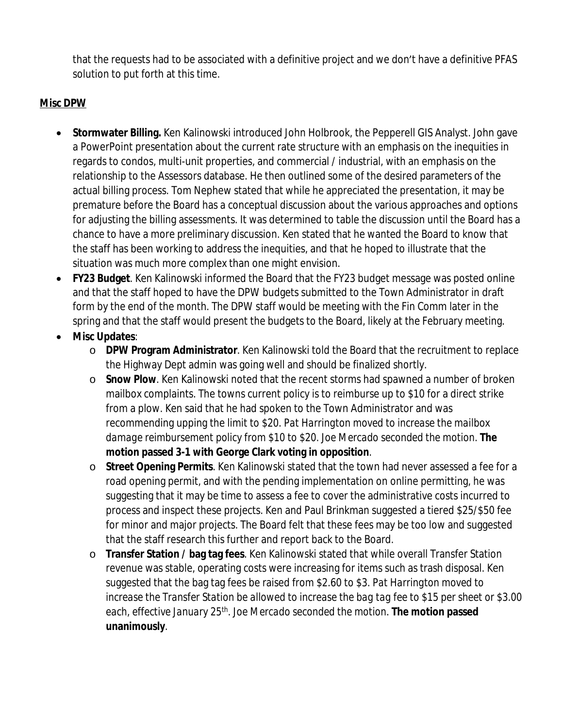that the requests had to be associated with a definitive project and we don't have a definitive PFAS solution to put forth at this time.

# **Misc DPW**

- **Stormwater Billing.** Ken Kalinowski introduced John Holbrook, the Pepperell GIS Analyst. John gave a PowerPoint presentation about the current rate structure with an emphasis on the inequities in regards to condos, multi-unit properties, and commercial / industrial, with an emphasis on the relationship to the Assessors database. He then outlined some of the desired parameters of the actual billing process. Tom Nephew stated that while he appreciated the presentation, it may be premature before the Board has a conceptual discussion about the various approaches and options for adjusting the billing assessments. It was determined to table the discussion until the Board has a chance to have a more preliminary discussion. Ken stated that he wanted the Board to know that the staff has been working to address the inequities, and that he hoped to illustrate that the situation was much more complex than one might envision.
- **FY23 Budget**. Ken Kalinowski informed the Board that the FY23 budget message was posted online and that the staff hoped to have the DPW budgets submitted to the Town Administrator in draft form by the end of the month. The DPW staff would be meeting with the Fin Comm later in the spring and that the staff would present the budgets to the Board, likely at the February meeting.
- **Misc Updates**:
	- o **DPW Program Administrator**. Ken Kalinowski told the Board that the recruitment to replace the Highway Dept admin was going well and should be finalized shortly.
	- o **Snow Plow**. Ken Kalinowski noted that the recent storms had spawned a number of broken mailbox complaints. The towns current policy is to reimburse up to \$10 for a direct strike from a plow. Ken said that he had spoken to the Town Administrator and was recommending upping the limit to \$20. *Pat Harrington moved to increase the mailbox damage reimbursement policy from \$10 to \$20. Joe Mercado seconded the motion.* **The motion passed 3-1 with George Clark voting in opposition**.
	- o **Street Opening Permits**. Ken Kalinowski stated that the town had never assessed a fee for a road opening permit, and with the pending implementation on online permitting, he was suggesting that it may be time to assess a fee to cover the administrative costs incurred to process and inspect these projects. Ken and Paul Brinkman suggested a tiered \$25/\$50 fee for minor and major projects. The Board felt that these fees may be too low and suggested that the staff research this further and report back to the Board.
	- o **Transfer Station / bag tag fees**. Ken Kalinowski stated that while overall Transfer Station revenue was stable, operating costs were increasing for items such as trash disposal. Ken suggested that the bag tag fees be raised from \$2.60 to \$3. *Pat Harrington moved to increase the Transfer Station be allowed to increase the bag tag fee to \$15 per sheet or \$3.00 each, effective January 25th. Joe Mercado seconded the motion.* **The motion passed unanimously**.